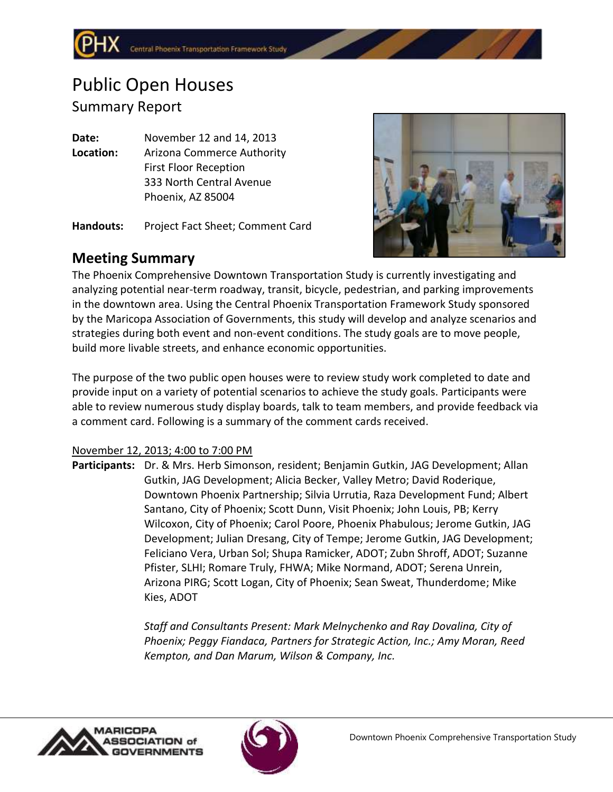## Public Open Houses Summary Report

**Date:** November 12 and 14, 2013 **Location:** Arizona Commerce Authority First Floor Reception 333 North Central Avenue Phoenix, AZ 85004

**Handouts:** Project Fact Sheet; Comment Card



## **Meeting Summary**

The Phoenix Comprehensive Downtown Transportation Study is currently investigating and analyzing potential near-term roadway, transit, bicycle, pedestrian, and parking improvements in the downtown area. Using the Central Phoenix Transportation Framework Study sponsored by the Maricopa Association of Governments, this study will develop and analyze scenarios and strategies during both event and non-event conditions. The study goals are to move people, build more livable streets, and enhance economic opportunities.

The purpose of the two public open houses were to review study work completed to date and provide input on a variety of potential scenarios to achieve the study goals. Participants were able to review numerous study display boards, talk to team members, and provide feedback via a comment card. Following is a summary of the comment cards received.

## November 12, 2013; 4:00 to 7:00 PM

**Participants:** Dr. & Mrs. Herb Simonson, resident; Benjamin Gutkin, JAG Development; Allan Gutkin, JAG Development; Alicia Becker, Valley Metro; David Roderique, Downtown Phoenix Partnership; Silvia Urrutia, Raza Development Fund; Albert Santano, City of Phoenix; Scott Dunn, Visit Phoenix; John Louis, PB; Kerry Wilcoxon, City of Phoenix; Carol Poore, Phoenix Phabulous; Jerome Gutkin, JAG Development; Julian Dresang, City of Tempe; Jerome Gutkin, JAG Development; Feliciano Vera, Urban Sol; Shupa Ramicker, ADOT; Zubn Shroff, ADOT; Suzanne Pfister, SLHI; Romare Truly, FHWA; Mike Normand, ADOT; Serena Unrein, Arizona PIRG; Scott Logan, City of Phoenix; Sean Sweat, Thunderdome; Mike Kies, ADOT

> *Staff and Consultants Present: Mark Melnychenko and Ray Dovalina, City of Phoenix; Peggy Fiandaca, Partners for Strategic Action, Inc.; Amy Moran, Reed Kempton, and Dan Marum, Wilson & Company, Inc.*



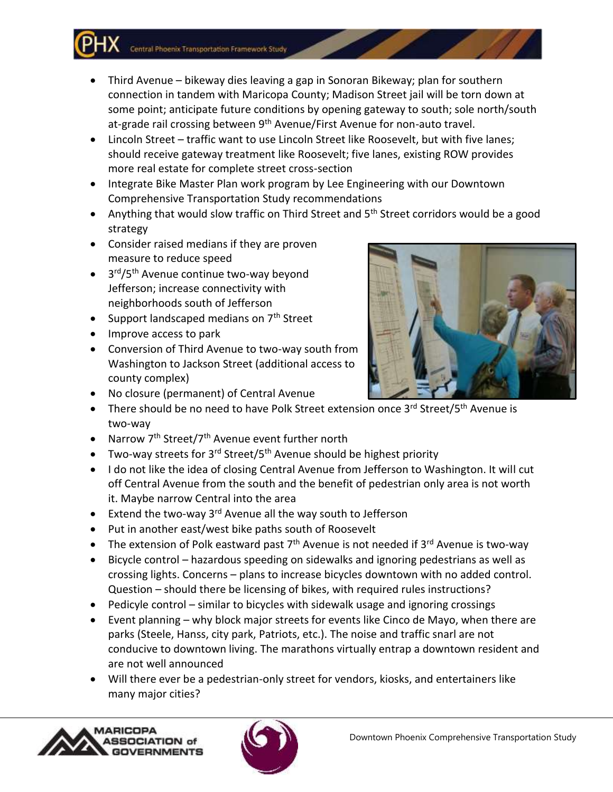Central Phoenix Transportation Framework Study

- Third Avenue bikeway dies leaving a gap in Sonoran Bikeway; plan for southern connection in tandem with Maricopa County; Madison Street jail will be torn down at some point; anticipate future conditions by opening gateway to south; sole north/south at-grade rail crossing between 9<sup>th</sup> Avenue/First Avenue for non-auto travel.
- Lincoln Street traffic want to use Lincoln Street like Roosevelt, but with five lanes; should receive gateway treatment like Roosevelt; five lanes, existing ROW provides more real estate for complete street cross-section
- Integrate Bike Master Plan work program by Lee Engineering with our Downtown Comprehensive Transportation Study recommendations
- Anything that would slow traffic on Third Street and 5<sup>th</sup> Street corridors would be a good strategy
- Consider raised medians if they are proven measure to reduce speed
- 3<sup>rd</sup>/5<sup>th</sup> Avenue continue two-way beyond Jefferson; increase connectivity with neighborhoods south of Jefferson
- Support landscaped medians on  $7<sup>th</sup>$  Street
- Improve access to park
- Conversion of Third Avenue to two-way south from Washington to Jackson Street (additional access to county complex)
- No closure (permanent) of Central Avenue
- There should be no need to have Polk Street extension once 3<sup>rd</sup> Street/5<sup>th</sup> Avenue is two-way
- Narrow  $7<sup>th</sup>$  Street/7<sup>th</sup> Avenue event further north
- Two-way streets for  $3<sup>rd</sup>$  Street/5<sup>th</sup> Avenue should be highest priority
- I do not like the idea of closing Central Avenue from Jefferson to Washington. It will cut off Central Avenue from the south and the benefit of pedestrian only area is not worth it. Maybe narrow Central into the area
- Extend the two-way 3<sup>rd</sup> Avenue all the way south to Jefferson
- Put in another east/west bike paths south of Roosevelt
- The extension of Polk eastward past  $7<sup>th</sup>$  Avenue is not needed if  $3<sup>rd</sup>$  Avenue is two-way
- Bicycle control hazardous speeding on sidewalks and ignoring pedestrians as well as crossing lights. Concerns – plans to increase bicycles downtown with no added control. Question – should there be licensing of bikes, with required rules instructions?
- Pedicyle control similar to bicycles with sidewalk usage and ignoring crossings
- Event planning why block major streets for events like Cinco de Mayo, when there are parks (Steele, Hanss, city park, Patriots, etc.). The noise and traffic snarl are not conducive to downtown living. The marathons virtually entrap a downtown resident and are not well announced
- Will there ever be a pedestrian-only street for vendors, kiosks, and entertainers like many major cities?





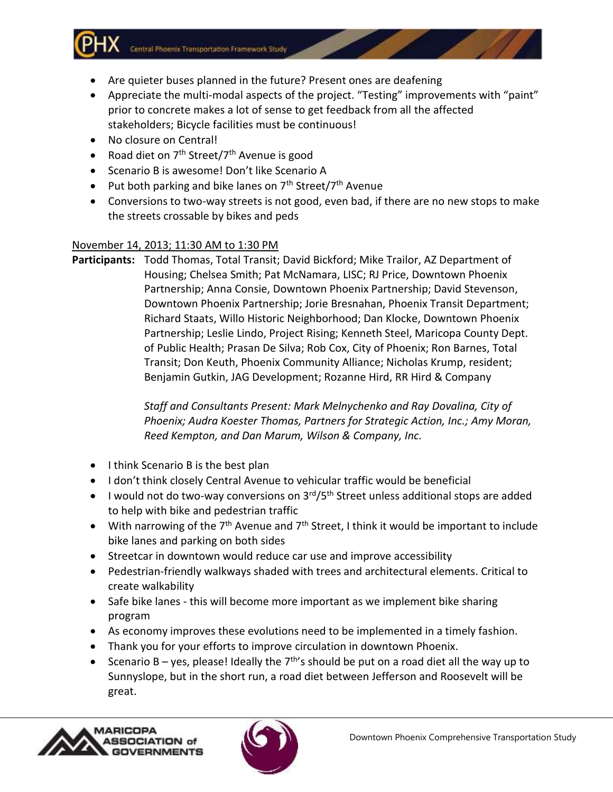Central Phoenix Transportation Framework Study

- Are quieter buses planned in the future? Present ones are deafening
- Appreciate the multi-modal aspects of the project. "Testing" improvements with "paint" prior to concrete makes a lot of sense to get feedback from all the affected stakeholders; Bicycle facilities must be continuous!
- No closure on Central!
- Road diet on  $7<sup>th</sup>$  Street/ $7<sup>th</sup>$  Avenue is good
- Scenario B is awesome! Don't like Scenario A
- Put both parking and bike lanes on  $7<sup>th</sup>$  Street/ $7<sup>th</sup>$  Avenue
- Conversions to two-way streets is not good, even bad, if there are no new stops to make the streets crossable by bikes and peds

## November 14, 2013; 11:30 AM to 1:30 PM

**Participants:** Todd Thomas, Total Transit; David Bickford; Mike Trailor, AZ Department of Housing; Chelsea Smith; Pat McNamara, LISC; RJ Price, Downtown Phoenix Partnership; Anna Consie, Downtown Phoenix Partnership; David Stevenson, Downtown Phoenix Partnership; Jorie Bresnahan, Phoenix Transit Department; Richard Staats, Willo Historic Neighborhood; Dan Klocke, Downtown Phoenix Partnership; Leslie Lindo, Project Rising; Kenneth Steel, Maricopa County Dept. of Public Health; Prasan De Silva; Rob Cox, City of Phoenix; Ron Barnes, Total Transit; Don Keuth, Phoenix Community Alliance; Nicholas Krump, resident; Benjamin Gutkin, JAG Development; Rozanne Hird, RR Hird & Company

> *Staff and Consultants Present: Mark Melnychenko and Ray Dovalina, City of Phoenix; Audra Koester Thomas, Partners for Strategic Action, Inc.; Amy Moran, Reed Kempton, and Dan Marum, Wilson & Company, Inc.*

- I think Scenario B is the best plan
- I don't think closely Central Avenue to vehicular traffic would be beneficial
- $\bullet$  I would not do two-way conversions on 3<sup>rd</sup>/5<sup>th</sup> Street unless additional stops are added to help with bike and pedestrian traffic
- $\bullet$  With narrowing of the 7<sup>th</sup> Avenue and 7<sup>th</sup> Street, I think it would be important to include bike lanes and parking on both sides
- Streetcar in downtown would reduce car use and improve accessibility
- Pedestrian-friendly walkways shaded with trees and architectural elements. Critical to create walkability
- Safe bike lanes this will become more important as we implement bike sharing program
- As economy improves these evolutions need to be implemented in a timely fashion.
- Thank you for your efforts to improve circulation in downtown Phoenix.
- Scenario B yes, please! Ideally the  $7<sup>th</sup>$ 's should be put on a road diet all the way up to Sunnyslope, but in the short run, a road diet between Jefferson and Roosevelt will be great.



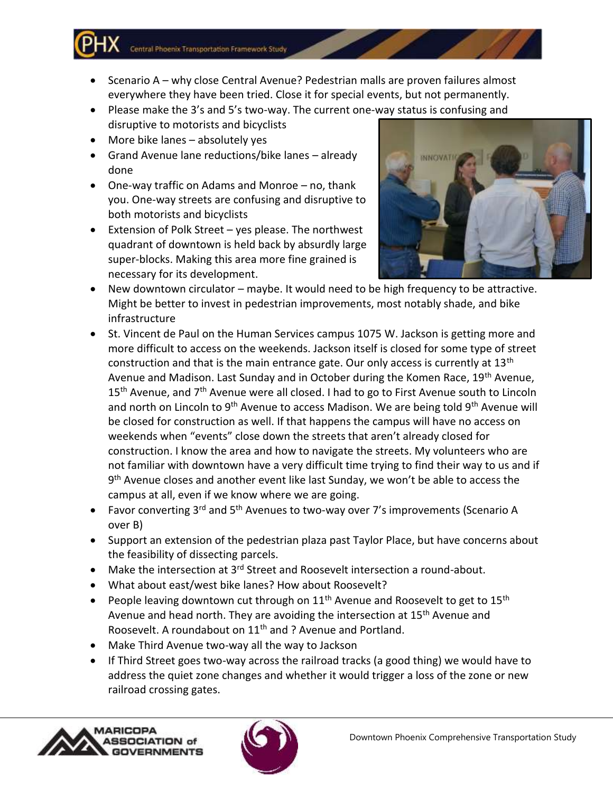Central Phoenix Transportation Framework Study

- Scenario A why close Central Avenue? Pedestrian malls are proven failures almost everywhere they have been tried. Close it for special events, but not permanently.
- Please make the 3's and 5's two-way. The current one-way status is confusing and disruptive to motorists and bicyclists
- More bike lanes absolutely yes
- Grand Avenue lane reductions/bike lanes already done
- One-way traffic on Adams and Monroe no, thank you. One-way streets are confusing and disruptive to both motorists and bicyclists
- Extension of Polk Street yes please. The northwest quadrant of downtown is held back by absurdly large super-blocks. Making this area more fine grained is necessary for its development.



- New downtown circulator maybe. It would need to be high frequency to be attractive. Might be better to invest in pedestrian improvements, most notably shade, and bike infrastructure
- St. Vincent de Paul on the Human Services campus 1075 W. Jackson is getting more and more difficult to access on the weekends. Jackson itself is closed for some type of street construction and that is the main entrance gate. Our only access is currently at  $13<sup>th</sup>$ Avenue and Madison. Last Sunday and in October during the Komen Race, 19<sup>th</sup> Avenue, 15<sup>th</sup> Avenue, and 7<sup>th</sup> Avenue were all closed. I had to go to First Avenue south to Lincoln and north on Lincoln to 9<sup>th</sup> Avenue to access Madison. We are being told 9<sup>th</sup> Avenue will be closed for construction as well. If that happens the campus will have no access on weekends when "events" close down the streets that aren't already closed for construction. I know the area and how to navigate the streets. My volunteers who are not familiar with downtown have a very difficult time trying to find their way to us and if 9<sup>th</sup> Avenue closes and another event like last Sunday, we won't be able to access the campus at all, even if we know where we are going.
- Favor converting  $3^{rd}$  and  $5^{th}$  Avenues to two-way over 7's improvements (Scenario A over B)
- Support an extension of the pedestrian plaza past Taylor Place, but have concerns about the feasibility of dissecting parcels.
- Make the intersection at 3<sup>rd</sup> Street and Roosevelt intersection a round-about.
- What about east/west bike lanes? How about Roosevelt?
- People leaving downtown cut through on  $11<sup>th</sup>$  Avenue and Roosevelt to get to  $15<sup>th</sup>$ Avenue and head north. They are avoiding the intersection at 15<sup>th</sup> Avenue and Roosevelt. A roundabout on 11<sup>th</sup> and ? Avenue and Portland.
- Make Third Avenue two-way all the way to Jackson
- If Third Street goes two-way across the railroad tracks (a good thing) we would have to address the quiet zone changes and whether it would trigger a loss of the zone or new railroad crossing gates.